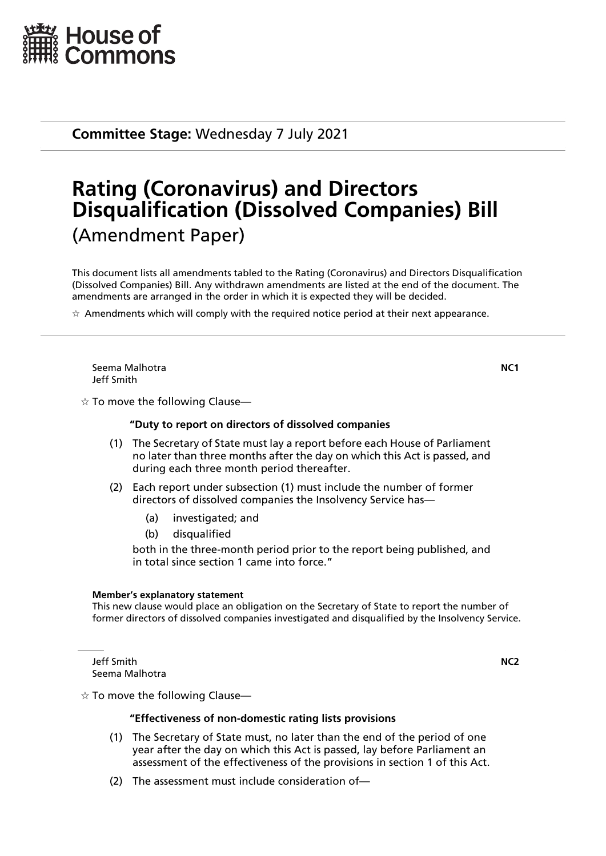

**Committee Stage:** Wednesday 7 July 2021

# **Rating (Coronavirus) and Directors Disqualification (Dissolved Companies) Bill** (Amendment Paper)

This document lists all amendments tabled to the Rating (Coronavirus) and Directors Disqualification (Dissolved Companies) Bill. Any withdrawn amendments are listed at the end of the document. The amendments are arranged in the order in which it is expected they will be decided.

 $\star$  Amendments which will comply with the required notice period at their next appearance.

Seema Malhotra **NC1** Jeff Smith

 $\dot{\mathbb{X}}$  To move the following Clause—

#### **"Duty to report on directors of dissolved companies**

- (1) The Secretary of State must lay a report before each House of Parliament no later than three months after the day on which this Act is passed, and during each three month period thereafter.
- (2) Each report under subsection (1) must include the number of former directors of dissolved companies the Insolvency Service has—
	- (a) investigated; and
	- (b) disqualified

both in the three-month period prior to the report being published, and in total since section 1 came into force."

#### **Member's explanatory statement**

This new clause would place an obligation on the Secretary of State to report the number of former directors of dissolved companies investigated and disqualified by the Insolvency Service.

Jeff Smith **NC2** Seema Malhotra

 $\dot{\varphi}$  To move the following Clause—

#### **"Effectiveness of non-domestic rating lists provisions**

- (1) The Secretary of State must, no later than the end of the period of one year after the day on which this Act is passed, lay before Parliament an assessment of the effectiveness of the provisions in section 1 of this Act.
- (2) The assessment must include consideration of—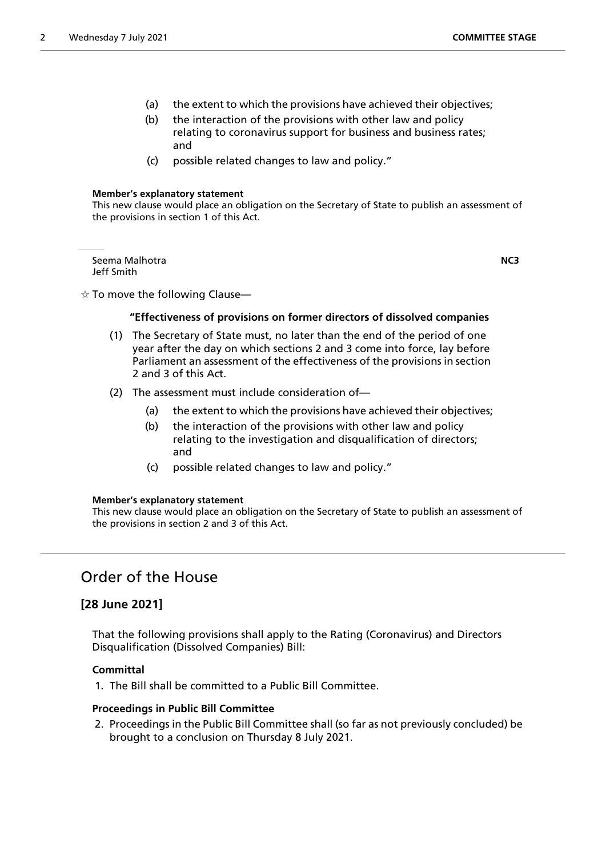- (a) the extent to which the provisions have achieved their objectives;
- (b) the interaction of the provisions with other law and policy relating to coronavirus support for business and business rates; and
- (c) possible related changes to law and policy."

#### **Member's explanatory statement**

This new clause would place an obligation on the Secretary of State to publish an assessment of the provisions in section 1 of this Act.

Seema Malhotra **NC3** Jeff Smith

 $\dot{\varphi}$  To move the following Clause—

### **"Effectiveness of provisions on former directors of dissolved companies**

- (1) The Secretary of State must, no later than the end of the period of one year after the day on which sections 2 and 3 come into force, lay before Parliament an assessment of the effectiveness of the provisions in section 2 and 3 of this Act.
- (2) The assessment must include consideration of—
	- (a) the extent to which the provisions have achieved their objectives;
	- (b) the interaction of the provisions with other law and policy relating to the investigation and disqualification of directors; and
	- (c) possible related changes to law and policy."

#### **Member's explanatory statement**

This new clause would place an obligation on the Secretary of State to publish an assessment of the provisions in section 2 and 3 of this Act.

# Order of the House

# **[28 June 2021]**

That the following provisions shall apply to the Rating (Coronavirus) and Directors Disqualification (Dissolved Companies) Bill:

## **Committal**

1. The Bill shall be committed to a Public Bill Committee.

#### **Proceedings in Public Bill Committee**

2. Proceedings in the Public Bill Committee shall (so far as not previously concluded) be brought to a conclusion on Thursday 8 July 2021.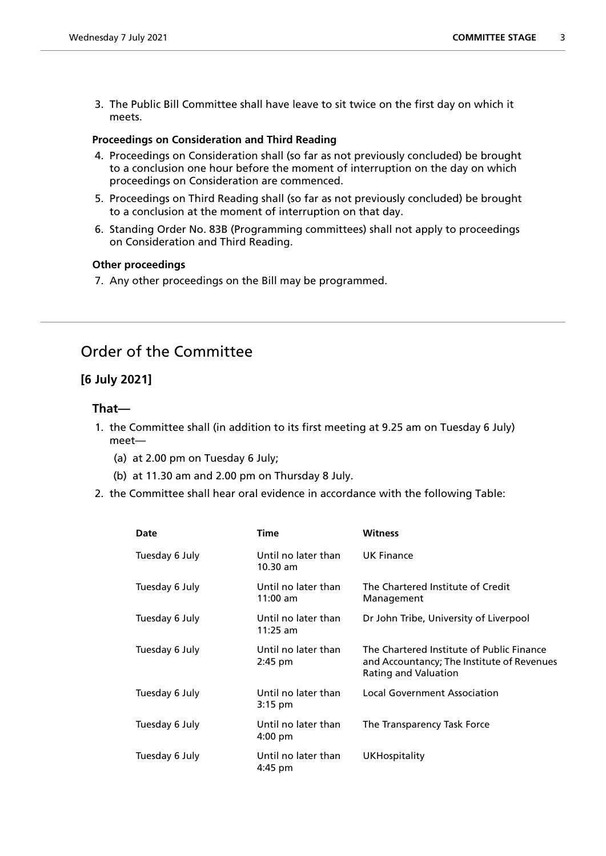3. The Public Bill Committee shall have leave to sit twice on the first day on which it meets.

# **Proceedings on Consideration and Third Reading**

- 4. Proceedings on Consideration shall (so far as not previously concluded) be brought to a conclusion one hour before the moment of interruption on the day on which proceedings on Consideration are commenced.
- 5. Proceedings on Third Reading shall (so far as not previously concluded) be brought to a conclusion at the moment of interruption on that day.
- 6. Standing Order No. 83B (Programming committees) shall not apply to proceedings on Consideration and Third Reading.

## **Other proceedings**

7. Any other proceedings on the Bill may be programmed.

# Order of the Committee

# **[6 July 2021]**

# **That—**

- 1. the Committee shall (in addition to its first meeting at 9.25 am on Tuesday 6 July) meet—
	- (a) at 2.00 pm on Tuesday 6 July;
	- (b) at 11.30 am and 2.00 pm on Thursday 8 July.
- 2. the Committee shall hear oral evidence in accordance with the following Table:

| Date           | <b>Time</b>                       | <b>Witness</b>                                                                                                  |
|----------------|-----------------------------------|-----------------------------------------------------------------------------------------------------------------|
| Tuesday 6 July | Until no later than<br>$10.30$ am | <b>UK Finance</b>                                                                                               |
| Tuesday 6 July | Until no later than<br>$11:00$ am | The Chartered Institute of Credit<br>Management                                                                 |
| Tuesday 6 July | Until no later than<br>$11:25$ am | Dr John Tribe, University of Liverpool                                                                          |
| Tuesday 6 July | Until no later than<br>$2:45$ pm  | The Chartered Institute of Public Finance<br>and Accountancy; The Institute of Revenues<br>Rating and Valuation |
| Tuesday 6 July | Until no later than<br>3:15 pm    | <b>Local Government Association</b>                                                                             |
| Tuesday 6 July | Until no later than<br>4:00 pm    | The Transparency Task Force                                                                                     |
| Tuesday 6 July | Until no later than<br>4:45 pm    | <b>UKHospitality</b>                                                                                            |